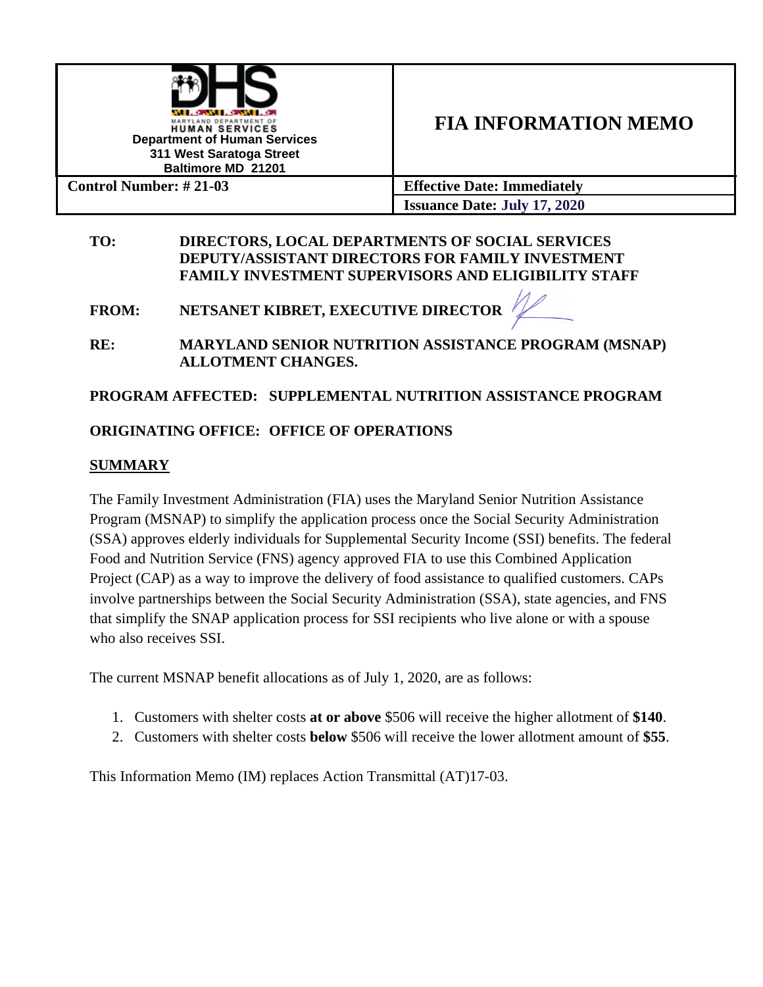

# **FIA INFORMATION MEMO**

**Issuance Date: July 17, 2020**

#### **TO: DIRECTORS, LOCAL DEPARTMENTS OF SOCIAL SERVICES DEPUTY/ASSISTANT DIRECTORS FOR FAMILY INVESTMENT FAMILY INVESTMENT SUPERVISORS AND ELIGIBILITY STAFF**

**FROM: NETSANET KIBRET, EXECUTIVE DIRECTOR** 

**RE: MARYLAND SENIOR NUTRITION ASSISTANCE PROGRAM (MSNAP) ALLOTMENT CHANGES.** 

# **PROGRAM AFFECTED: SUPPLEMENTAL NUTRITION ASSISTANCE PROGRAM**

## **ORIGINATING OFFICE: OFFICE OF OPERATIONS**

#### **SUMMARY**

The Family Investment Administration (FIA) uses the Maryland Senior Nutrition Assistance Program (MSNAP) to simplify the application process once the Social Security Administration (SSA) approves elderly individuals for Supplemental Security Income (SSI) benefits. The federal Food and Nutrition Service (FNS) agency approved FIA to use this Combined Application Project (CAP) as a way to improve the delivery of food assistance to qualified customers. CAPs involve partnerships between the Social Security Administration (SSA), state agencies, and FNS that simplify the SNAP application process for SSI recipients who live alone or with a spouse who also receives SSI.

The current MSNAP benefit allocations as of July 1, 2020, are as follows:

- 1. Customers with shelter costs **at or above** \$506 will receive the higher allotment of **\$140**.
- 2. Customers with shelter costs **below** \$506 will receive the lower allotment amount of **\$55**.

This Information Memo (IM) replaces Action Transmittal (AT)17-03.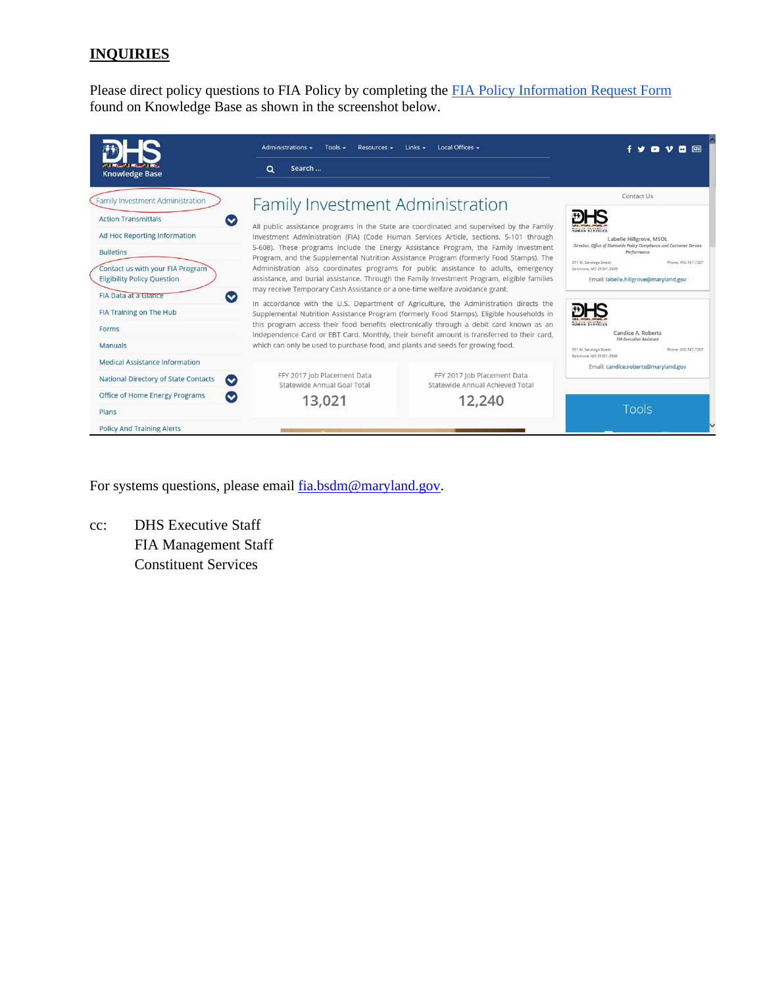## **INQUIRIES**

Please direct policy questions to FIA Policy by completing the [FIA Policy Information Request Form](http://kb.dhs.maryland.gov/family-investment-administration/contact-us-with-your-fia-program-eligibility-policy-question/) found on Knowledge Base as shown in the screenshot below.

| <b>Knowledge Base</b>                                                                                                                                                                                                                                                                                                                         | Administrations $\sim$<br>Tools $\sim$<br>Resources -<br>Search<br>Q                                                                                                                                | Local Offices -<br>Links $\sim$                                                                                                                                                                                                                                                                                                                                                                                                                                                                                                                                                                                                                                                                                                                                                                                                                                                                                                        |                                                                                                                                                                                                                                                                                                                                                                                                                             |  |
|-----------------------------------------------------------------------------------------------------------------------------------------------------------------------------------------------------------------------------------------------------------------------------------------------------------------------------------------------|-----------------------------------------------------------------------------------------------------------------------------------------------------------------------------------------------------|----------------------------------------------------------------------------------------------------------------------------------------------------------------------------------------------------------------------------------------------------------------------------------------------------------------------------------------------------------------------------------------------------------------------------------------------------------------------------------------------------------------------------------------------------------------------------------------------------------------------------------------------------------------------------------------------------------------------------------------------------------------------------------------------------------------------------------------------------------------------------------------------------------------------------------------|-----------------------------------------------------------------------------------------------------------------------------------------------------------------------------------------------------------------------------------------------------------------------------------------------------------------------------------------------------------------------------------------------------------------------------|--|
| Family Investment Administration<br><b>Action Transmittals</b><br>$\bullet$<br>Ad Hoc Reporting Information<br><b>Bulletins</b><br>Contact us with your FIA Program<br><b>Eligibility Policy Question</b><br>FIA Data at a Glance<br>$\bullet$<br>FIA Training on The Hub<br>Forms<br><b>Manuals</b><br><b>Medical Assistance Information</b> | Family Investment Administration<br>may receive Temporary Cash Assistance or a one-time welfare avoidance grant.<br>which can only be used to purchase food, and plants and seeds for growing food. | All public assistance programs in the State are coordinated and supervised by the Family<br>Investment Administration (FIA) (Code Human Services Article, sections. 5-101 through<br>5-608). These programs include the Energy Assistance Program, the Family Investment<br>Program, and the Supplemental Nutrition Assistance Program (formerly Food Stamps). The<br>Administration also coordinates programs for public assistance to adults, emergency<br>assistance, and burial assistance. Through the Family Investment Program, eligible families<br>In accordance with the U.S. Department of Agriculture, the Administration directs the<br>Supplemental Nutrition Assistance Program (formerly Food Stamps). Eligible households in<br>this program access their food benefits electronically through a debit card known as an<br>Independence Card or EBT Card. Monthly, their benefit amount is transferred to their card, | Contact Us<br>HUMAN SERVICES<br>Labelle Hillgrove, MSOL<br>Director, Office of Statewide Policy Compliance and Customer Service<br>Performance<br>311 W. Saratoga Street<br>Phone: 410-767-7327<br>Baltimore, MD 21201-3500<br>Email: labelle.hillgrove@maryland.gov<br>HUMAN SERVICES<br>Candice A. Roberts<br><b>FIA Executive Assistant</b><br>311 W. Saratoga Street<br>Phone: 410-767-7207<br>Baltimore, MD 21201-3500 |  |
| National Directory of State Contacts<br>$\bullet$<br>Office of Home Energy Programs                                                                                                                                                                                                                                                           | FFY 2017 Job Placement Data<br>Statewide Annual Goal Total                                                                                                                                          | FFY 2017 Job Placement Data<br>Statewide Annual Achieved Total                                                                                                                                                                                                                                                                                                                                                                                                                                                                                                                                                                                                                                                                                                                                                                                                                                                                         | Email: candice.roberts@maryland.gov                                                                                                                                                                                                                                                                                                                                                                                         |  |
| ∾<br>Plans<br><b>Policy And Training Alerts</b>                                                                                                                                                                                                                                                                                               | 13,021                                                                                                                                                                                              | 12,240                                                                                                                                                                                                                                                                                                                                                                                                                                                                                                                                                                                                                                                                                                                                                                                                                                                                                                                                 | Tools                                                                                                                                                                                                                                                                                                                                                                                                                       |  |

For systems questions, please email  $\frac{\text{fia.bsdm@maryland.gov}}{\text{fia.bsdm@maryland.gov}}$ .

cc: DHS Executive Staff FIA Management Staff Constituent Services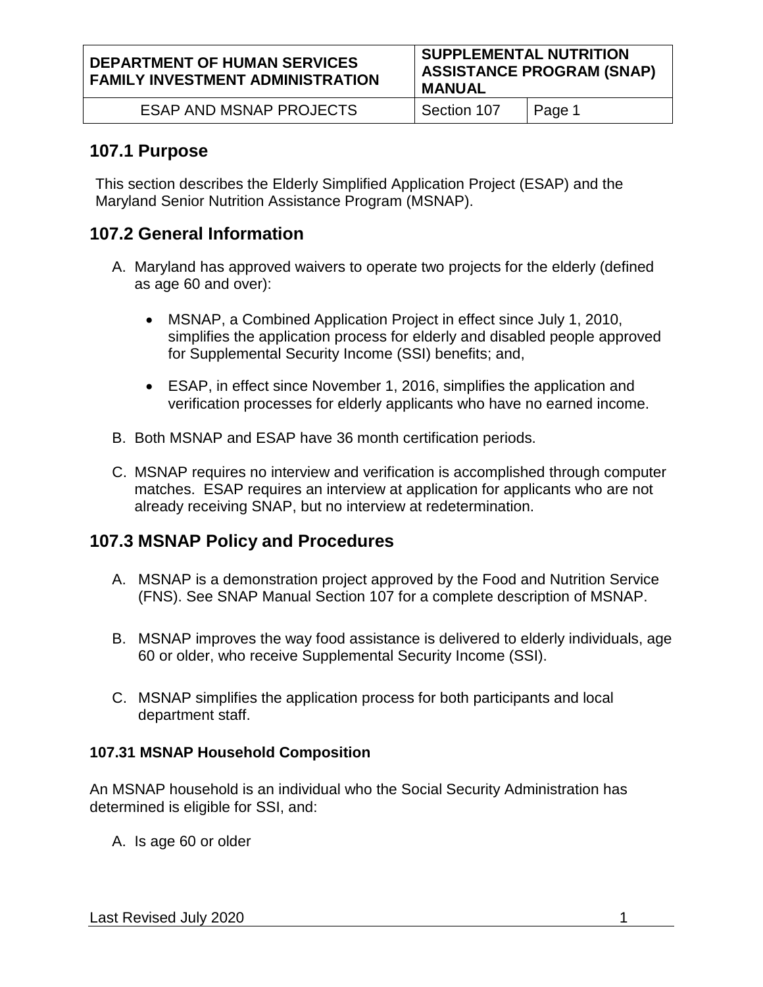ESAP AND MSNAP PROJECTS | Section 107 | Page 1

## **107.1 Purpose**

This section describes the Elderly Simplified Application Project (ESAP) and the Maryland Senior Nutrition Assistance Program (MSNAP).

# **107.2 General Information**

- A. Maryland has approved waivers to operate two projects for the elderly (defined as age 60 and over):
	- MSNAP, a Combined Application Project in effect since July 1, 2010, simplifies the application process for elderly and disabled people approved for Supplemental Security Income (SSI) benefits; and,
	- ESAP, in effect since November 1, 2016, simplifies the application and verification processes for elderly applicants who have no earned income.
- B. Both MSNAP and ESAP have 36 month certification periods.
- C. MSNAP requires no interview and verification is accomplished through computer matches. ESAP requires an interview at application for applicants who are not already receiving SNAP, but no interview at redetermination.

# **107.3 MSNAP Policy and Procedures**

- A. MSNAP is a demonstration project approved by the Food and Nutrition Service (FNS). See SNAP Manual Section 107 for a complete description of MSNAP.
- B. MSNAP improves the way food assistance is delivered to elderly individuals, age 60 or older, who receive Supplemental Security Income (SSI).
- C. MSNAP simplifies the application process for both participants and local department staff.

#### **107.31 MSNAP Household Composition**

An MSNAP household is an individual who the Social Security Administration has determined is eligible for SSI, and:

A. Is age 60 or older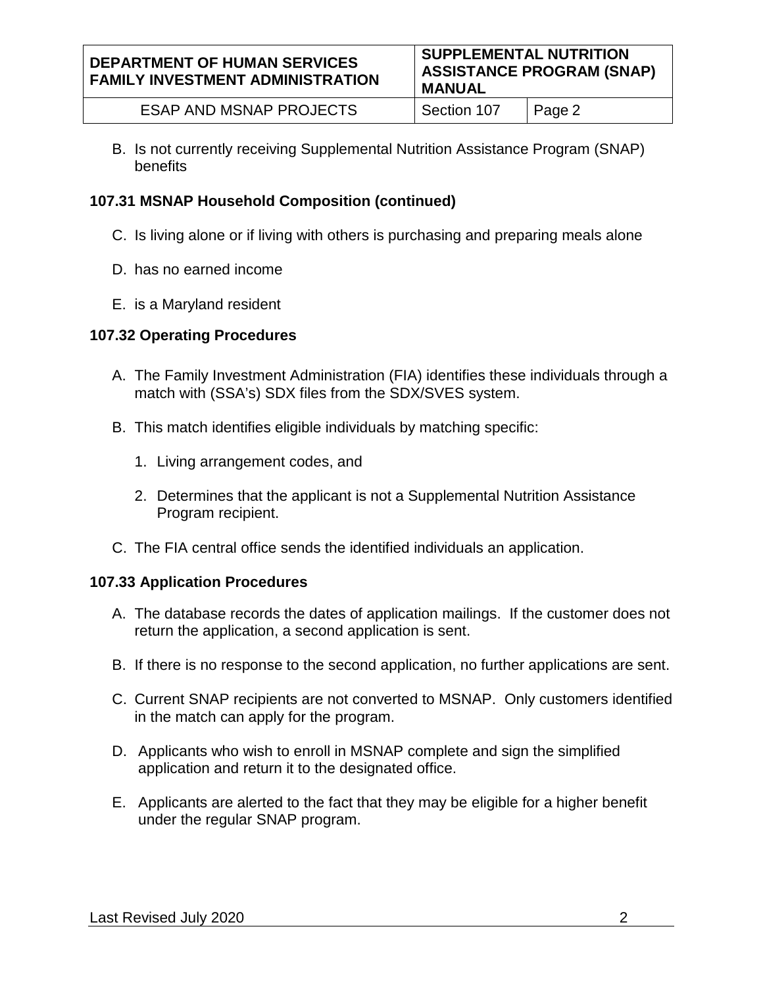B. Is not currently receiving Supplemental Nutrition Assistance Program (SNAP) benefits

# **107.31 MSNAP Household Composition (continued)**

- C. Is living alone or if living with others is purchasing and preparing meals alone
- D. has no earned income
- E. is a Maryland resident

# **107.32 Operating Procedures**

- A. The Family Investment Administration (FIA) identifies these individuals through a match with (SSA's) SDX files from the SDX/SVES system.
- B. This match identifies eligible individuals by matching specific:
	- 1. Living arrangement codes, and
	- 2. Determines that the applicant is not a Supplemental Nutrition Assistance Program recipient.
- C. The FIA central office sends the identified individuals an application.

# **107.33 Application Procedures**

- A. The database records the dates of application mailings. If the customer does not return the application, a second application is sent.
- B. If there is no response to the second application, no further applications are sent.
- C. Current SNAP recipients are not converted to MSNAP. Only customers identified in the match can apply for the program.
- D. Applicants who wish to enroll in MSNAP complete and sign the simplified application and return it to the designated office.
- E. Applicants are alerted to the fact that they may be eligible for a higher benefit under the regular SNAP program.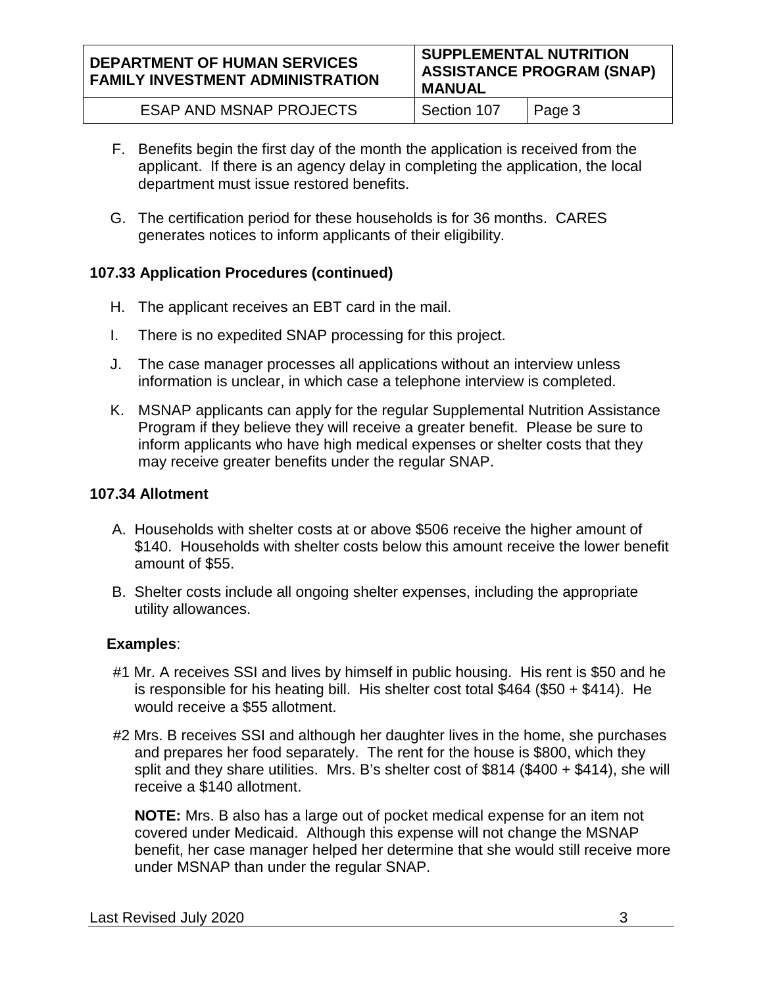#### **DEPARTMENT OF HUMAN SERVICES FAMILY INVESTMENT ADMINISTRATION SUPPLEMENTAL NUTRITION ASSISTANCE PROGRAM (SNAP) MANUAL**

| <b>ESAP AND MSNAP PROJECTS</b><br>Section 107<br>$\overline{\phantom{a}}$ Page 3 |
|----------------------------------------------------------------------------------|
|----------------------------------------------------------------------------------|

- F. Benefits begin the first day of the month the application is received from the applicant. If there is an agency delay in completing the application, the local department must issue restored benefits.
- G. The certification period for these households is for 36 months. CARES generates notices to inform applicants of their eligibility.

## **107.33 Application Procedures (continued)**

- H. The applicant receives an EBT card in the mail.
- I. There is no expedited SNAP processing for this project.
- J. The case manager processes all applications without an interview unless information is unclear, in which case a telephone interview is completed.
- K. MSNAP applicants can apply for the regular Supplemental Nutrition Assistance Program if they believe they will receive a greater benefit. Please be sure to inform applicants who have high medical expenses or shelter costs that they may receive greater benefits under the regular SNAP.

## **107.34 Allotment**

- A. Households with shelter costs at or above \$506 receive the higher amount of \$140. Households with shelter costs below this amount receive the lower benefit amount of \$55.
- B. Shelter costs include all ongoing shelter expenses, including the appropriate utility allowances.

## **Examples**:

- #1 Mr. A receives SSI and lives by himself in public housing. His rent is \$50 and he is responsible for his heating bill. His shelter cost total \$464 (\$50 + \$414). He would receive a \$55 allotment.
- #2 Mrs. B receives SSI and although her daughter lives in the home, she purchases and prepares her food separately. The rent for the house is \$800, which they split and they share utilities. Mrs. B's shelter cost of \$814 (\$400 + \$414), she will receive a \$140 allotment.

**NOTE:** Mrs. B also has a large out of pocket medical expense for an item not covered under Medicaid. Although this expense will not change the MSNAP benefit, her case manager helped her determine that she would still receive more under MSNAP than under the regular SNAP.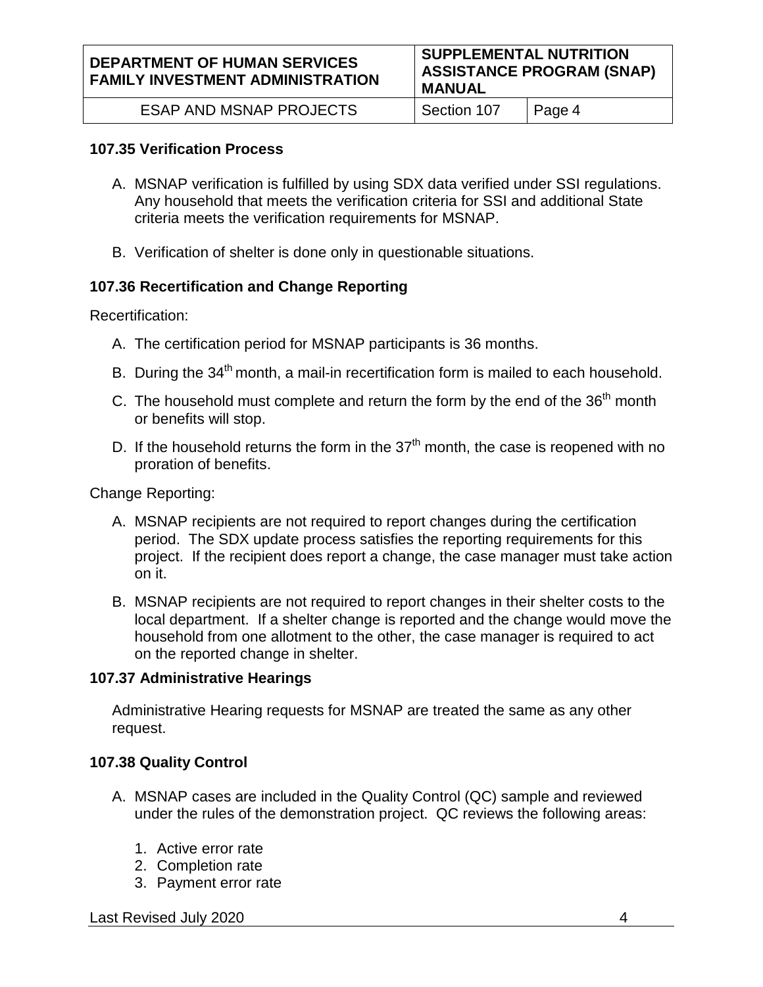| <b>DEPARTMENT OF HUMAN SERVICES</b><br><b>FAMILY INVESTMENT ADMINISTRATION</b> | <b>SUPPLEMENTAL NUTRITION</b><br><b>ASSISTANCE PROGRAM (SNAP)</b><br><b>MANUAL</b> |        |
|--------------------------------------------------------------------------------|------------------------------------------------------------------------------------|--------|
| ESAP AND MSNAP PROJECTS                                                        | Section 107                                                                        | Page 4 |

#### **107.35 Verification Process**

- A. MSNAP verification is fulfilled by using SDX data verified under SSI regulations. Any household that meets the verification criteria for SSI and additional State criteria meets the verification requirements for MSNAP.
- B. Verification of shelter is done only in questionable situations.

#### **107.36 Recertification and Change Reporting**

Recertification:

- A. The certification period for MSNAP participants is 36 months.
- B. During the 34<sup>th</sup> month, a mail-in recertification form is mailed to each household.
- C. The household must complete and return the form by the end of the  $36<sup>th</sup>$  month or benefits will stop.
- D. If the household returns the form in the  $37<sup>th</sup>$  month, the case is reopened with no proration of benefits.

Change Reporting:

- A. MSNAP recipients are not required to report changes during the certification period. The SDX update process satisfies the reporting requirements for this project. If the recipient does report a change, the case manager must take action on it.
- B. MSNAP recipients are not required to report changes in their shelter costs to the local department. If a shelter change is reported and the change would move the household from one allotment to the other, the case manager is required to act on the reported change in shelter.

#### **107.37 Administrative Hearings**

Administrative Hearing requests for MSNAP are treated the same as any other request.

#### **107.38 Quality Control**

- A. MSNAP cases are included in the Quality Control (QC) sample and reviewed under the rules of the demonstration project. QC reviews the following areas:
	- 1. Active error rate
	- 2. Completion rate
	- 3. Payment error rate

Last Revised July 2020 4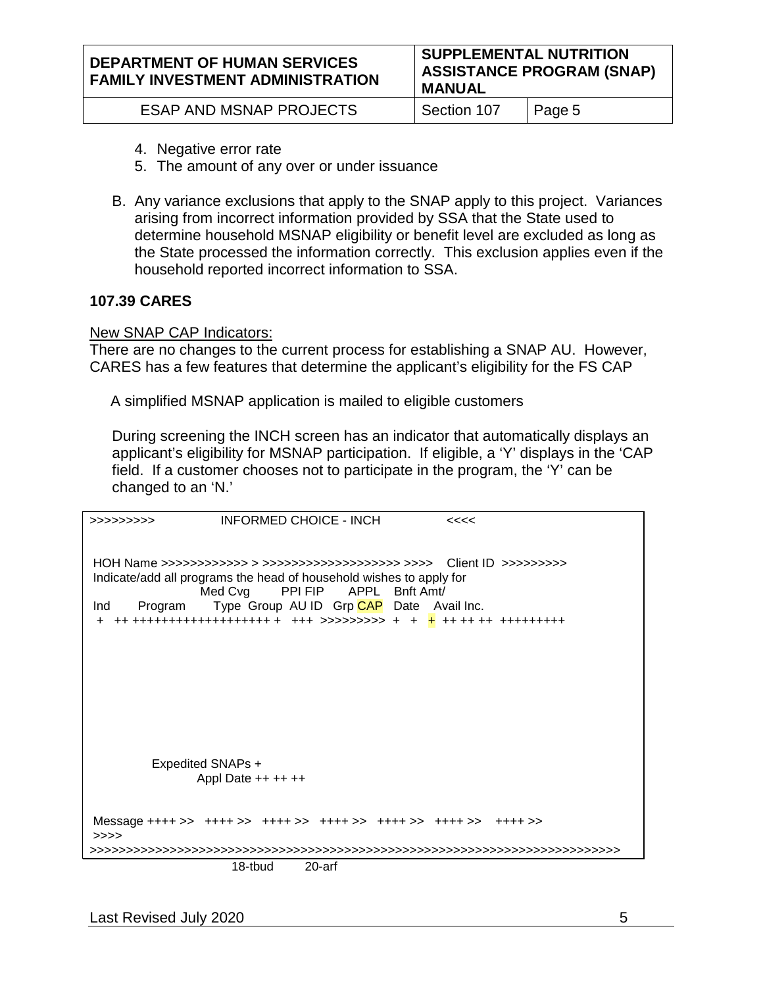| <b>ESAP AND MSNAP PROJECTS</b> | Section 107 | $\vert$ Page 5 |
|--------------------------------|-------------|----------------|
|                                |             |                |

- 4. Negative error rate
- 5. The amount of any over or under issuance
- B. Any variance exclusions that apply to the SNAP apply to this project. Variances arising from incorrect information provided by SSA that the State used to determine household MSNAP eligibility or benefit level are excluded as long as the State processed the information correctly. This exclusion applies even if the household reported incorrect information to SSA.

#### **107.39 CARES**

#### New SNAP CAP Indicators:

There are no changes to the current process for establishing a SNAP AU. However, CARES has a few features that determine the applicant's eligibility for the FS CAP

A simplified MSNAP application is mailed to eligible customers

During screening the INCH screen has an indicator that automatically displays an applicant's eligibility for MSNAP participation. If eligible, a 'Y' displays in the 'CAP field. If a customer chooses not to participate in the program, the 'Y' can be changed to an 'N.'

| >>>>>>>>>>     | INFORMED CHOICE - INCH                       |                                                                                                                                                   | <<<                                                                           |
|----------------|----------------------------------------------|---------------------------------------------------------------------------------------------------------------------------------------------------|-------------------------------------------------------------------------------|
| Ind<br>Program |                                              | Indicate/add all programs the head of household wishes to apply for<br>Med Cvg PPI FIP APPL Bnft Amt/<br>Type Group AU ID Grp CAP Date Avail Inc. | ++ +++++++++++++++++++ + +++ >>>>>>>>> + + <mark>+</mark> ++ ++ ++ ++++++++++ |
|                | <b>Expedited SNAPs +</b><br>Appl Date $++++$ |                                                                                                                                                   |                                                                               |
| >>>>           |                                              | Message ++++ >> ++++ >> ++++ >> ++++ >> ++++ >> ++++ >> ++++ >>                                                                                   |                                                                               |
|                | 18-tbud                                      | 20-arf                                                                                                                                            |                                                                               |

Last Revised July 2020 5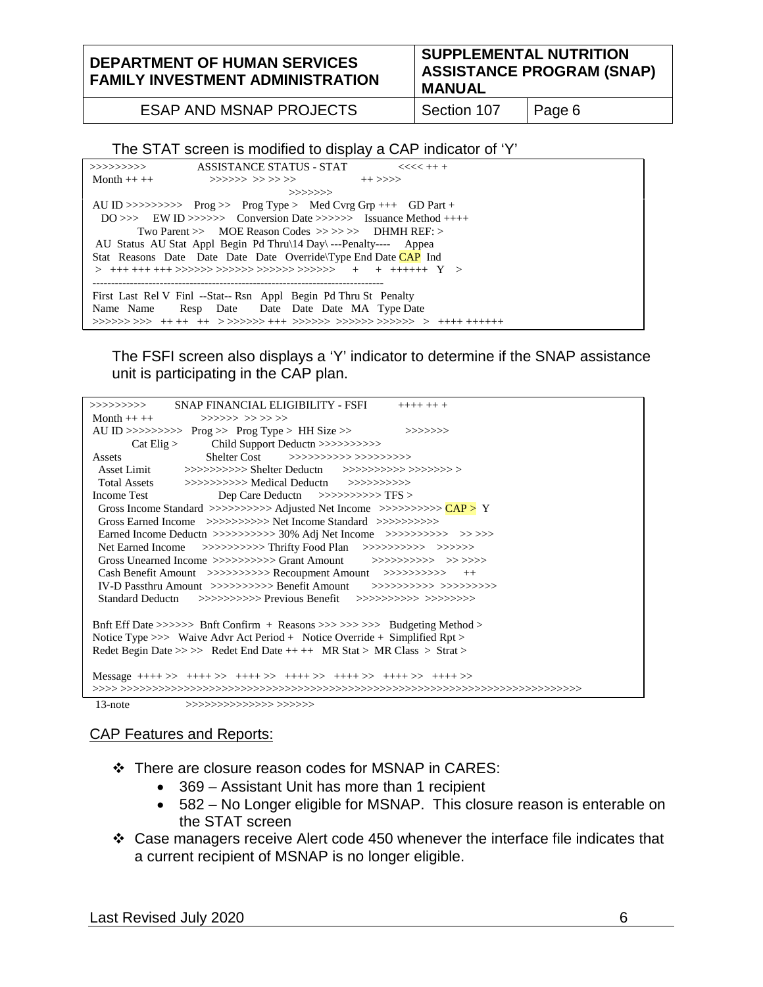**DEPARTMENT OF HUMAN SERVICES FAMILY INVESTMENT ADMINISTRATION** **SUPPLEMENTAL NUTRITION ASSISTANCE PROGRAM (SNAP) MANUAL**

ESAP AND MSNAP PROJECTS | Section 107 | Page 6

#### The STAT screen is modified to display a CAP indicator of 'Y'

| >>>>>>>>>>      | ASSISTANCE STATUS - STAT                                                                            | $<<<<++$ |  |
|-----------------|-----------------------------------------------------------------------------------------------------|----------|--|
| Month $++$ $++$ | >>>>>> >>>>>>> ++>>>>                                                                               |          |  |
|                 | >>>>>>>                                                                                             |          |  |
|                 | AU ID >>>>>>>>> Prog >> Prog Type > Med Cyrg Grp +++ GD Part +                                      |          |  |
|                 | $DO \gg\gt$ EW ID $\gg\gg\gt\gg\gt$ Conversion Date $\gg\gg\gt\gt\gt\gt\gt\gt$ Issuance Method ++++ |          |  |
|                 | Two Parent $\gg$ MOE Reason Codes $\gg \gg \gg$ DHMH REF: $>$                                       |          |  |
|                 | AU Status AU Stat Appl Begin Pd Thru\14 Day\---Penalty---- Appea                                    |          |  |
|                 | Stat Reasons Date Date Date Date Override Type End Date CAP Ind                                     |          |  |
|                 |                                                                                                     |          |  |
|                 |                                                                                                     |          |  |
|                 | First Last Rel V Finl --Stat-- Rsn Appl Begin Pd Thru St Penalty                                    |          |  |
| Name Name       | Resp Date Date Date Date MA Type Date                                                               |          |  |
|                 |                                                                                                     |          |  |

The FSFI screen also displays a 'Y' indicator to determine if the SNAP assistance unit is participating in the CAP plan.

| SNAP FINANCIAL ELIGIBILITY - FSFI<br>>>>>>>>>>><br>$++++++$                                                               |
|---------------------------------------------------------------------------------------------------------------------------|
| Month ++ ++ $\rightarrow \rightarrow \rightarrow \rightarrow \rightarrow \rightarrow \rightarrow \rightarrow \rightarrow$ |
| AU ID >>>>>>>>>> $Prog$ >> $Prog$ Type > HH Size >><br>>>>>>>>>                                                           |
|                                                                                                                           |
| Shelter Cost >>>>>>>>>>>>>>>>>>>>>>>><br>Assets                                                                           |
| Asset Limit >>>>>>>>>>> Shelter Deductn >>>>>>>>>>>>>>>>>>>>                                                              |
|                                                                                                                           |
| Income Test<br>Dep Care Deductn $\gg>>>>>>>\rFS>$                                                                         |
| Gross Income Standard >>>>>>>>>> Adjusted Net Income >>>>>>>>>> $\angle$ CAP > Y                                          |
| Gross Earned Income $\gg\gg\gg\gg\gg$ Net Income Standard $\gg\gg\gg\gg\gg\gg\gg$                                         |
|                                                                                                                           |
| Net Earned Income >>>>>>>>>>> Thrifty Food Plan >>>>>>>>> >>>>>>>>                                                        |
| Gross Unearned Income >>>>>>>>>>> Grant Amount >>>>>>>>> >>>>>>>                                                          |
| Cash Benefit Amount >>>>>>>>>>> Recoupment Amount >>>>>>>>>> ++                                                           |
|                                                                                                                           |
|                                                                                                                           |
|                                                                                                                           |
| But Eff Date >>>>>> Buft Confirm + Reasons >>> >>> >>> Budgeting Method >                                                 |
| Notice Type $>>$ Waive Advr Act Period + Notice Override + Simplified Rpt $>$                                             |
| Redet Begin Date >>>> Redet End Date ++ ++ MR Stat > MR Class > Strat >                                                   |
|                                                                                                                           |
| Message ++++ >> ++++ >> ++++ >> ++++ >> ++++ >> ++++ >> ++++ >>                                                           |
|                                                                                                                           |
| $13$ -note<br>$\gg\gg\gg\gg\gg\gg\gg\gg\gg\gg$                                                                            |

#### CAP Features and Reports:

There are closure reason codes for MSNAP in CARES:

- 369 Assistant Unit has more than 1 recipient
- 582 No Longer eligible for MSNAP. This closure reason is enterable on the STAT screen
- Case managers receive Alert code 450 whenever the interface file indicates that a current recipient of MSNAP is no longer eligible.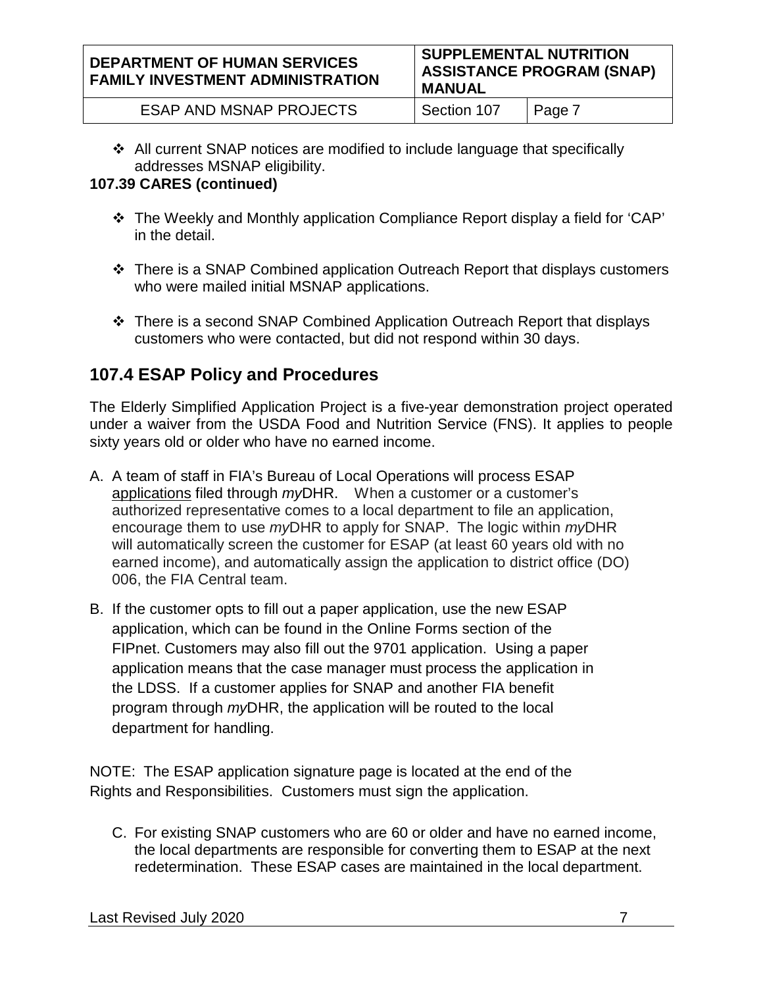All current SNAP notices are modified to include language that specifically addresses MSNAP eligibility.

# **107.39 CARES (continued)**

- The Weekly and Monthly application Compliance Report display a field for 'CAP' in the detail.
- There is a SNAP Combined application Outreach Report that displays customers who were mailed initial MSNAP applications.
- $\div$  There is a second SNAP Combined Application Outreach Report that displays customers who were contacted, but did not respond within 30 days.

# **107.4 ESAP Policy and Procedures**

The Elderly Simplified Application Project is a five-year demonstration project operated under a waiver from the USDA Food and Nutrition Service (FNS). It applies to people sixty years old or older who have no earned income.

- A. A team of staff in FIA's Bureau of Local Operations will process ESAP applications filed through *my*DHR. When a customer or a customer's authorized representative comes to a local department to file an application, encourage them to use *my*DHR to apply for SNAP. The logic within *my*DHR will automatically screen the customer for ESAP (at least 60 years old with no earned income), and automatically assign the application to district office (DO) 006, the FIA Central team.
- B. If the customer opts to fill out a paper application, use the new ESAP application, which can be found in the Online Forms section of the FIPnet. Customers may also fill out the 9701 application. Using a paper application means that the case manager must process the application in the LDSS. If a customer applies for SNAP and another FIA benefit program through *my*DHR, the application will be routed to the local department for handling.

NOTE: The ESAP application signature page is located at the end of the Rights and Responsibilities. Customers must sign the application.

C. For existing SNAP customers who are 60 or older and have no earned income, the local departments are responsible for converting them to ESAP at the next redetermination. These ESAP cases are maintained in the local department.